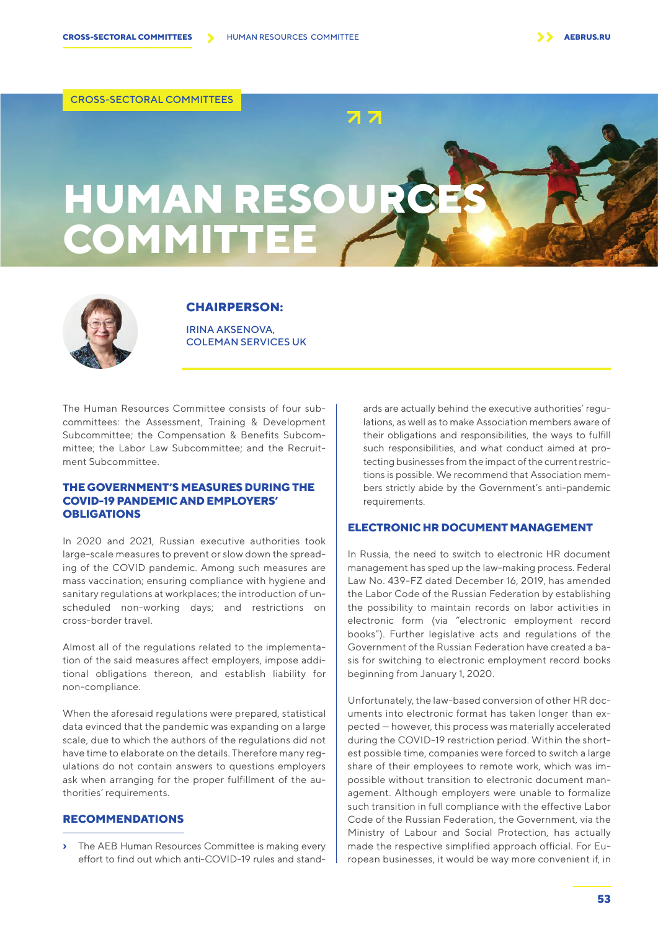CROSS-SECTORAL COMMITTEES

# **HUMAN RESOU COMMITTE**



#### **CHAIRPERSON:**

IRINA AKSENOVA, COLEMAN SERVICES UK

The Human Resources Committee consists of four subcommittees: the Assessment, Training & Development Subcommittee; the Compensation & Benefits Subcommittee; the Labor Law Subcommittee; and the Recruitment Subcommittee.

#### **THE GOVERNMENT'S MEASURES DURING THE COVID-19 PANDEMIC AND EMPLOYERS' OBLIGATIONS**

In 2020 and 2021, Russian executive authorities took large-scale measures to prevent or slow down the spreading of the COVID pandemic. Among such measures are mass vaccination; ensuring compliance with hygiene and sanitary regulations at workplaces; the introduction of unscheduled non-working days; and restrictions on cross-border travel.

Almost all of the regulations related to the implementation of the said measures affect employers, impose additional obligations thereon, and establish liability for non-compliance.

When the aforesaid regulations were prepared, statistical data evinced that the pandemic was expanding on a large scale, due to which the authors of the regulations did not have time to elaborate on the details. Therefore many regulations do not contain answers to questions employers ask when arranging for the proper fulfillment of the authorities' requirements.

# **RECOMMENDATIONS**

**›** The AEB Human Resources Committee is making every effort to find out which anti-COVID-19 rules and stand-

ards are actually behind the executive authorities' regulations, as well as to make Association members aware of their obligations and responsibilities, the ways to fulfill such responsibilities, and what conduct aimed at protecting businesses from the impact of the current restrictions is possible. We recommend that Association members strictly abide by the Government's anti-pandemic requirements.

### **ELECTRONIC HR DOCUMENT MANAGEMENT**

In Russia, the need to switch to electronic HR document management has sped up the law-making process. Federal Law No. 439-FZ dated December 16, 2019, has amended the Labor Code of the Russian Federation by establishing the possibility to maintain records on labor activities in electronic form (via "electronic employment record books"). Further legislative acts and regulations of the Government of the Russian Federation have created a basis for switching to electronic employment record books beginning from January 1, 2020.

Unfortunately, the law-based conversion of other HR documents into electronic format has taken longer than expected — however, this process was materially accelerated during the COVID-19 restriction period. Within the shortest possible time, companies were forced to switch a large share of their employees to remote work, which was impossible without transition to electronic document management. Although employers were unable to formalize such transition in full compliance with the effective Labor Code of the Russian Federation, the Government, via the Ministry of Labour and Social Protection, has actually made the respective simplified approach official. For European businesses, it would be way more convenient if, in